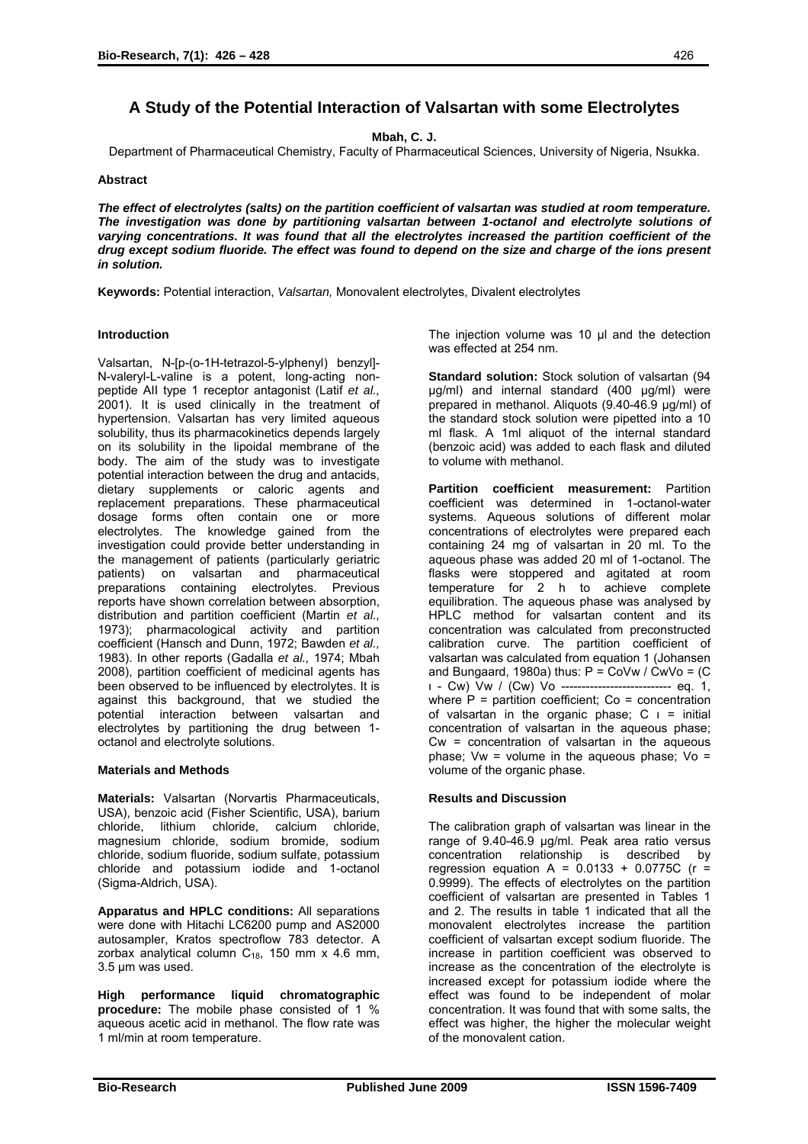# **A Study of the Potential Interaction of Valsartan with some Electrolytes**

**Mbah, C. J.** 

Department of Pharmaceutical Chemistry, Faculty of Pharmaceutical Sciences, University of Nigeria, Nsukka.

## **Abstract**

*The effect of electrolytes (salts) on the partition coefficient of valsartan was studied at room temperature. The investigation was done by partitioning valsartan between 1-octanol and electrolyte solutions of varying concentrations. It was found that all the electrolytes increased the partition coefficient of the drug except sodium fluoride. The effect was found to depend on the size and charge of the ions present in solution.* 

**Keywords:** Potential interaction, *Valsartan,* Monovalent electrolytes, Divalent electrolytes

#### **Introduction**

Valsartan, N-[p-(o-1H-tetrazol-5-ylphenyl) benzyl]- N-valeryl-L-valine is a potent, long-acting nonpeptide AII type 1 receptor antagonist (Latif *et al.,*  2001). It is used clinically in the treatment of hypertension. Valsartan has very limited aqueous solubility, thus its pharmacokinetics depends largely on its solubility in the lipoidal membrane of the body. The aim of the study was to investigate potential interaction between the drug and antacids, dietary supplements or caloric agents and replacement preparations. These pharmaceutical dosage forms often contain one or more electrolytes. The knowledge gained from the investigation could provide better understanding in the management of patients (particularly geriatric patients) on valsartan and pharmaceutical preparations containing electrolytes. Previous reports have shown correlation between absorption, distribution and partition coefficient (Martin *et al.,*  1973); pharmacological activity and partition coefficient (Hansch and Dunn, 1972; Bawden *et al.,* 1983). In other reports (Gadalla *et al.,* 1974; Mbah 2008), partition coefficient of medicinal agents has been observed to be influenced by electrolytes. It is against this background, that we studied the potential interaction between valsartan and electrolytes by partitioning the drug between 1 octanol and electrolyte solutions.

#### **Materials and Methods**

**Materials:** Valsartan (Norvartis Pharmaceuticals, USA), benzoic acid (Fisher Scientific, USA), barium chloride, lithium chloride, calcium chloride, magnesium chloride, sodium bromide, sodium chloride, sodium fluoride, sodium sulfate, potassium chloride and potassium iodide and 1-octanol (Sigma-Aldrich, USA).

**Apparatus and HPLC conditions:** All separations were done with Hitachi LC6200 pump and AS2000 autosampler, Kratos spectroflow 783 detector. A zorbax analytical column  $C_{18}$ , 150 mm x 4.6 mm, 3.5 µm was used.

**High performance liquid chromatographic procedure:** The mobile phase consisted of 1 % aqueous acetic acid in methanol. The flow rate was 1 ml/min at room temperature.

The injection volume was 10 µl and the detection was effected at 254 nm.

**Standard solution:** Stock solution of valsartan (94 µg/ml) and internal standard (400 µg/ml) were prepared in methanol. Aliquots (9.40-46.9 µg/ml) of the standard stock solution were pipetted into a 10 ml flask. A 1ml aliquot of the internal standard (benzoic acid) was added to each flask and diluted to volume with methanol.

**Partition coefficient measurement:** Partition coefficient was determined in 1-octanol-water systems. Aqueous solutions of different molar concentrations of electrolytes were prepared each containing 24 mg of valsartan in 20 ml. To the aqueous phase was added 20 ml of 1-octanol. The flasks were stoppered and agitated at room temperature for 2 h to achieve complete equilibration. The aqueous phase was analysed by HPLC method for valsartan content and its concentration was calculated from preconstructed calibration curve. The partition coefficient of valsartan was calculated from equation 1 (Johansen and Bungaard, 1980a) thus:  $P = \text{CoVw} / \text{CuVo} = (C)$  - Cw) Vw / (Cw) Vο --------------------------- eq. 1, where  $P =$  partition coefficient;  $Co =$  concentration of valsartan in the organic phase;  $C = \text{initial}$ concentration of valsartan in the aqueous phase;  $Cw =$  concentration of valsartan in the aqueous phase; Vw = volume in the aqueous phase; Vo = volume of the organic phase.

## **Results and Discussion**

The calibration graph of valsartan was linear in the range of 9.40-46.9 µg/ml. Peak area ratio versus concentration relationship is described by regression equation A =  $0.0133 + 0.0775C$  (r = 0.9999). The effects of electrolytes on the partition coefficient of valsartan are presented in Tables 1 and 2. The results in table 1 indicated that all the monovalent electrolytes increase the partition coefficient of valsartan except sodium fluoride. The increase in partition coefficient was observed to increase as the concentration of the electrolyte is increased except for potassium iodide where the effect was found to be independent of molar concentration. It was found that with some salts, the effect was higher, the higher the molecular weight of the monovalent cation.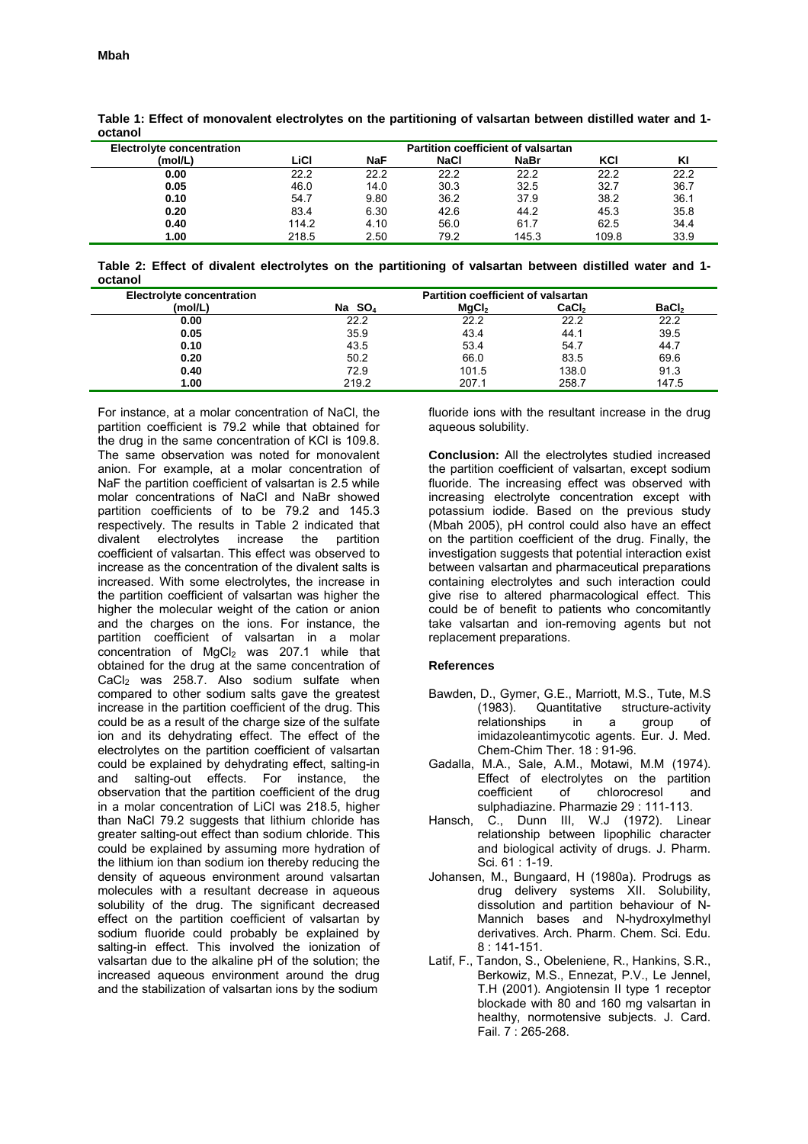| <b>UULAHUI</b>                   |                                    |            |             |             |       |      |  |  |
|----------------------------------|------------------------------------|------------|-------------|-------------|-------|------|--|--|
| <b>Electrolyte concentration</b> | Partition coefficient of valsartan |            |             |             |       |      |  |  |
| (mol/L)                          | LiCl                               | <b>NaF</b> | <b>NaCl</b> | <b>NaBr</b> | KCI   | ΚI   |  |  |
| 0.00                             | 22.2                               | 22.2       | 22.2        | 22.2        | 22.2  | 22.2 |  |  |
| 0.05                             | 46.0                               | 14.0       | 30.3        | 32.5        | 32.7  | 36.7 |  |  |
| 0.10                             | 54.7                               | 9.80       | 36.2        | 37.9        | 38.2  | 36.1 |  |  |
| 0.20                             | 83.4                               | 6.30       | 42.6        | 44.2        | 45.3  | 35.8 |  |  |
| 0.40                             | 114.2                              | 4.10       | 56.0        | 61.7        | 62.5  | 34.4 |  |  |
| 1.00                             | 218.5                              | 2.50       | 79.2        | 145.3       | 109.8 | 33.9 |  |  |

**Table 1: Effect of monovalent electrolytes on the partitioning of valsartan between distilled water and 1 octanol** 

**Table 2: Effect of divalent electrolytes on the partitioning of valsartan between distilled water and 1 octanol** 

| <b>Electrolyte concentration</b> | Partition coefficient of valsartan |                    |                   |                   |  |  |
|----------------------------------|------------------------------------|--------------------|-------------------|-------------------|--|--|
| (mol/L)                          | Na $SO4$                           | MaC <sub>I</sub> , | CaCl <sub>2</sub> | BaCl <sub>2</sub> |  |  |
| 0.00                             | 22.2                               | 22.2               | 22.2              | 22.2              |  |  |
| 0.05                             | 35.9                               | 43.4               | 44.1              | 39.5              |  |  |
| 0.10                             | 43.5                               | 53.4               | 54.7              | 44.7              |  |  |
| 0.20                             | 50.2                               | 66.0               | 83.5              | 69.6              |  |  |
| 0.40                             | 72.9                               | 101.5              | 138.0             | 91.3              |  |  |
| 1.00                             | 219.2                              | 207.1              | 258.7             | 147.5             |  |  |

For instance, at a molar concentration of NaCl, the partition coefficient is 79.2 while that obtained for the drug in the same concentration of KCl is 109.8. The same observation was noted for monovalent anion. For example, at a molar concentration of NaF the partition coefficient of valsartan is 2.5 while molar concentrations of NaCl and NaBr showed partition coefficients of to be 79.2 and 145.3 respectively. The results in Table 2 indicated that divalent electrolytes increase the partition coefficient of valsartan. This effect was observed to increase as the concentration of the divalent salts is increased. With some electrolytes, the increase in the partition coefficient of valsartan was higher the higher the molecular weight of the cation or anion and the charges on the ions. For instance, the partition coefficient of valsartan in a molar concentration of  $MgCl<sub>2</sub>$  was 207.1 while that obtained for the drug at the same concentration of CaCl<sub>2</sub> was 258.7. Also sodium sulfate when compared to other sodium salts gave the greatest increase in the partition coefficient of the drug. This could be as a result of the charge size of the sulfate ion and its dehydrating effect. The effect of the electrolytes on the partition coefficient of valsartan could be explained by dehydrating effect, salting-in and salting-out effects. For instance, the observation that the partition coefficient of the drug in a molar concentration of LiCl was 218.5, higher than NaCl 79.2 suggests that lithium chloride has greater salting-out effect than sodium chloride. This could be explained by assuming more hydration of the lithium ion than sodium ion thereby reducing the density of aqueous environment around valsartan molecules with a resultant decrease in aqueous solubility of the drug. The significant decreased effect on the partition coefficient of valsartan by sodium fluoride could probably be explained by salting-in effect. This involved the ionization of valsartan due to the alkaline pH of the solution; the increased aqueous environment around the drug and the stabilization of valsartan ions by the sodium

fluoride ions with the resultant increase in the drug aqueous solubility.

**Conclusion:** All the electrolytes studied increased the partition coefficient of valsartan, except sodium fluoride. The increasing effect was observed with increasing electrolyte concentration except with potassium iodide. Based on the previous study (Mbah 2005), pH control could also have an effect on the partition coefficient of the drug. Finally, the investigation suggests that potential interaction exist between valsartan and pharmaceutical preparations containing electrolytes and such interaction could give rise to altered pharmacological effect. This could be of benefit to patients who concomitantly take valsartan and ion-removing agents but not replacement preparations.

#### **References**

- Bawden, D., Gymer, G.E., Marriott, M.S., Tute, M.S (1983). Quantitative structure-activity relationships in a group of imidazoleantimycotic agents. Eur. J. Med. Chem-Chim Ther. 18 : 91-96.
- Gadalla, M.A., Sale, A.M., Motawi, M.M (1974). Effect of electrolytes on the partition coefficient of chlorocresol and sulphadiazine. Pharmazie 29 : 111-113.
- Hansch, C., Dunn III, W.J (1972). Linear relationship between lipophilic character and biological activity of drugs. J. Pharm. Sci. 61 : 1-19.
- Johansen, M., Bungaard, H (1980a). Prodrugs as drug delivery systems XII. Solubility, dissolution and partition behaviour of N-Mannich bases and N-hydroxylmethyl derivatives. Arch. Pharm. Chem. Sci. Edu. 8 : 141-151.
- Latif, F., Tandon, S., Obeleniene, R., Hankins, S.R., Berkowiz, M.S., Ennezat, P.V., Le Jennel, T.H (2001). Angiotensin II type 1 receptor blockade with 80 and 160 mg valsartan in healthy, normotensive subjects. J. Card. Fail. 7 : 265-268.